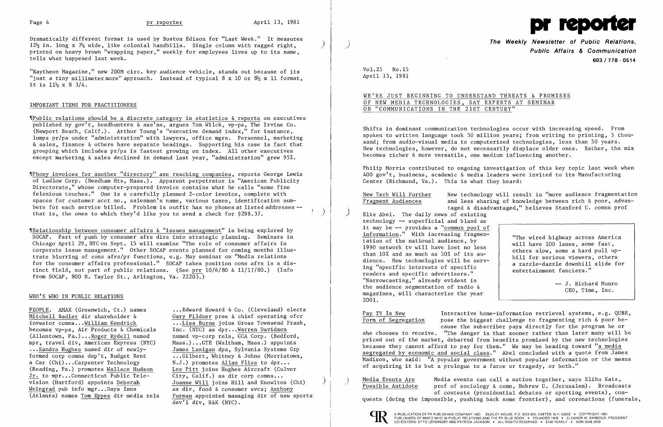Dramatically different format is used by Boston Edison for "Last Week." It measures  $12\frac{1}{2}$  in. long x  $7\frac{1}{2}$  wide, like colonial handbills. Single column with ragged right, printed on heavy brown "wrapping paper," weekly for employees lives up to its name, tells what happened last week.

"Raytheon Magazine," new 200M circ. key audience vehicle, stands out because of its "just a tiny millimeter more" approach. Instead of typical 8 x 10 or  $8\frac{1}{2}$  x 11 format, it is  $11\frac{1}{2} \times 8$  3/4.

## IMPORTANT ITEMS FOR PRACTITIONERS

 $\P$ Public relations should be a discrete category in statistics & reports on executives published by gov't, headhunters & ass'ns, argues Tom Wilck, vp-pa, The Irvine Co. (Newport Beach, Calif.). Arthur Young's "executive demand index," for instance, lumps pr/pa under "administration" with lawyers, office mgrs. Personnel, marketing & sales, finance & others have separate headings. Supporting his case is fact that grouping which includes pr/pa is fastest growing on index. All other executives except marketing & sales declined in demand last year, "administration" grew 95%.

'IPhony invoices for another "directory" are reaching companies, reports George Lewis of Ludlow Corp. (Needham Hts, Mass.). Apparent perpetrator is "American Publicity Directorate," whose computer-prepared invoice contains what he calls "some fine felonious touches." One is a carefully planned 2-color invoice, complete with spaces for customer acct no., salesman's name, various taxes, identification numbers for each service billed. Problem is outfit has no phones at listed addresses -that is, the ones to which they'd like you to send a check for \$298.37.

'fRelationship between consumer affairs & "issues management" is being explored by SOCAP. Part of push by consumer afrs dirs into strategic planning. Seminars in Chicago April 29, NYC on Sept. 15 will examine "The role of consumer affairs in corporate issue management." Other SOCAP events planned for coming months illustrate blurring of cons afrs/pr functions, e.g. May seminar on "Media relations for the consumer affairs professional." SOCAP takes position cons afrs is a distinct field, not part of public relations. (See prr 10/6/80 & 11/17/80.) (Info from SOCAP, 800 N. Taylor St., Arlington, Va. 22203.)

## WHO'S WHO IN PUBLIC RELATIONS

PEOPLE. AMAX (Greenwich, Ct.) names Mitchell Badler dir shareholder & investor comns ...William Kendrick becomes vp-pa, Air Products & Chemicals (Allentown, Pa.) ...Roger Rydell named mpr, travel div, American Express (NYC) ... Sandra Hughes named dir of newlyformed corp comns dep't, Budget Rent a Car (Chi)...Carpenter Technology (Reading, Pa.) promotes Wallace Hudson Jr. to mpr...Connecticut Public Television (Hartford) appoints Deborah Weingrad pub info mgr...Days Inns (Atlanta) names Tom Eppes dir media rels

pose the biggest challenge to fragmenting rich  $\&$  poor because the subscriber pays directly for the program he or

 $\frac{Pay\ TV\ Is\ New}{Form\ of\ Segregation}$  Interactive home-information retrieval systems, e.g. QUBE,<br>Form of Segregation pose the biggest challenge to fragmenting rich & poor beshe chooses to receive. "The danger is that sooner rather than later many will be priced out of the market, debarred from benefits promised by the new technologies because they cannot afford to pay for them." We may be heading toward "a media segregated by economic and social class." Abel concluded with a quote from James Madison, who said: "A popular government without popular information or the means of acquiring it is but a prologue to a farce or tragedy, or both."

Media Events Are Media events can call a nation together, says Elihu Katz,<br>Possible Antidote prof of sociology & comn, Hebrew U. (Jerusalem). Broadcasts of contests (presidential debates or sporting events), conquests (doing the impossible, pushing back some frontier), and coronations (funerals,



... Edward Howard & Co. (Cleveland) elects Gary Pildner pres & chief operating ofcr .•.Lisa Burns joins Gross Townsend Frank, Inc.  $(NYC)$  as dpr...Warren Davidson named vp-corp rels, GCA Corp. (Bedford, Mass.) ..•GTE (Waltham, Mass.) appoints James Lanigan dpa, Sylvania Systems Grp •..Gilbert, Whitney & Johns (Morristown,  $N.J.$ ) promotes Allan Fliss to dpr... Ï Lee Pitt joins Hughes Aircraft (Culver City, Calif.) as dir corp comns... ľ Joanne Will joins Hill and Knowlton (Chi) as dir, food & consumer svcs; Anthony Furman appointed managing dir of new sports dev'l div, H&K (NYC).

> )  $\mathbf{I}$

)

 $\blacksquare$ 

 $\sum_{i=1}^{n}$  $\begin{array}{c} 1 \\ 1 \\ 2 \end{array}$ 



**The Weekly** Newsletter **of Public Relations.** ) **Public Affairs & Communication 603/718·0514** 

Vol. 25 No. 15 Ap ril 13, 1981

New Tech Will Further Mew technology will result in "more audience fragmentation<br>Fragment Audiences and less sharing of knowledge between rich & poor, advanand less sharing of knowledge between rich & poor, advantaged & disadvantaged," believes Stanford U. comns prof<br>Elie Abel. The daily news of existing

WE'RE JUST BEGINNING TO UNDERSTAND THREATS & PROMISES OF NEW MEDIA TECHNOLOGIES, SAY EXPERTS AT SEMINAR ON "COMMUNICATIONS IN THE 21ST CENTURY" becomes richer & more versatile, one medium influencing another.

Shifts in dominant communication technologies occur with increasing speed. From spoken to written language took 50 million years; from writing to printing, 5 thousand; from audio-visual media to computerized technologies, less than 50 years. New technologies, however, do not necessarily displace older ones. Rather, the mix

Philip Morris contributed to ongoing investigation of this key topic last week when 400 gov't, business, academic & media leaders were invited to its Manufacturing Center (Richmond, Va.). This is what they heard:

technology -- superficial and bland as it may be -- provides a "common pool of information." With increasing fragmentation of the national audience, by 1990 network tv will have lost no less than 10% and as much as 50% of its audience. New technologies will be serving "specific interests of specific readers and specific advertisers." "Narrowcasting," already evident in the audience segmentation of radio & magazines, will characterize the year 2001.

"The wired highway across America will have 100 lanes, some fast, others slow, some a hard pull uphill for serious viewers, others a razzle-dazzle downhill slide for entertainment fanciers."

> J. Richard Munro CEO, Time, Inc.